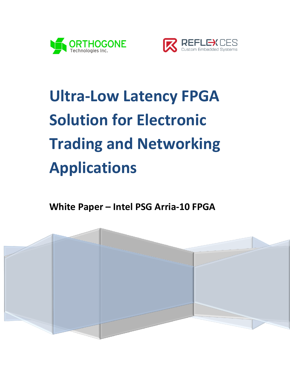



# **Ultra-Low Latency FPGA Solution for Electronic Trading and Networking Applications**

**White Paper – Intel PSG Arria-10 FPGA**

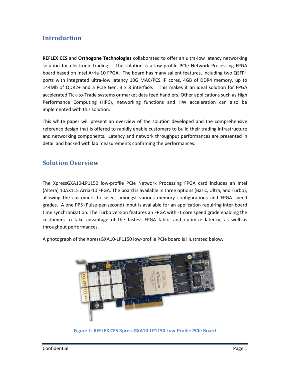# **Introduction**

**REFLEX CES** and **Orthogone Technologies** collaborated to offer an ultra-low latency networking solution for electronic trading. The solution is a low-profile PCIe Network Processing FPGA board based on Intel Arria-10 FPGA. The board has many salient features, including two QSFP+ ports with integrated ultra-low latency 10G MAC/PCS IP cores, 4GB of DDR4 memory, up to 144Mb of QDR2+ and a PCIe Gen. 3 x 8 interface. This makes it an ideal solution for FPGA accelerated Tick-to-Trade systems or market data feed handlers. Other applications such as High Performance Computing (HPC), networking functions and HW acceleration can also be implemented with this solution.

This white paper will present an overview of the solution developed and the comprehensive reference design that is offered to rapidly enable customers to build their trading infrastructure and networking components. Latency and network throughput performances are presented in detail and backed with lab measurements confirming the performances.

# **Solution Overview**

The XpressGXA10-LP1150 low-profile PCIe Network Processing FPGA card includes an Intel (Altera) 10AX115 Arria-10 FPGA. The board is available in three options (Basic, Ultra, and Turbo), allowing the customers to select amongst various memory configurations and FPGA speed grades. A one PPS (Pulse-per-second) input is available for an application requiring inter-board time synchronization. The Turbo version features an FPGA with -1 core speed grade enabling the customers to take advantage of the fastest FPGA fabric and optimize latency, as well as throughput performances.

A photograph of the XpressGXA10-LP1150 low-profile PCIe board is illustrated below.



**Figure 1: REFLEX CES XpressGXA10-LP1150 Low-Profile PCIe Board**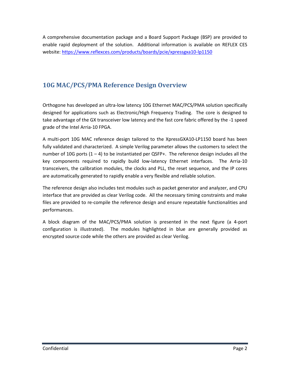A comprehensive documentation package and a Board Support Package (BSP) are provided to enable rapid deployment of the solution. Additional information is available on REFLEX CES website[: https://www.reflexces.com/products/boards/pcie/xpressgxa10-lp1150](https://www.reflexces.com/products/boards/pcie/xpressgxa10-lp1150)

# **10G MAC/PCS/PMA Reference Design Overview**

Orthogone has developed an ultra-low latency 10G Ethernet MAC/PCS/PMA solution specifically designed for applications such as Electronic/High Frequency Trading. The core is designed to take advantage of the GX transceiver low latency and the fast core fabric offered by the -1 speed grade of the Intel Arria-10 FPGA.

A multi-port 10G MAC reference design tailored to the XpressGXA10-LP1150 board has been fully validated and characterized. A simple Verilog parameter allows the customers to select the number of 10G ports  $(1 - 4)$  to be instantiated per QSFP+. The reference design includes all the key components required to rapidly build low-latency Ethernet interfaces. The Arria-10 transceivers, the calibration modules, the clocks and PLL, the reset sequence, and the IP cores are automatically generated to rapidly enable a very flexible and reliable solution.

The reference design also includes test modules such as packet generator and analyzer, and CPU interface that are provided as clear Verilog code. All the necessary timing constraints and make files are provided to re-compile the reference design and ensure repeatable functionalities and performances.

A block diagram of the MAC/PCS/PMA solution is presented in the next figure (a 4-port configuration is illustrated). The modules highlighted in blue are generally provided as encrypted source code while the others are provided as clear Verilog.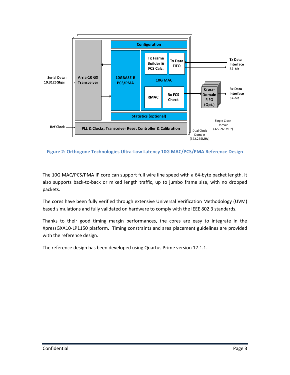

**Figure 2: Orthogone Technologies Ultra-Low Latency 10G MAC/PCS/PMA Reference Design**

The 10G MAC/PCS/PMA IP core can support full wire line speed with a 64-byte packet length. It also supports back-to-back or mixed length traffic, up to jumbo frame size, with no dropped packets.

The cores have been fully verified through extensive Universal Verification Methodology (UVM) based simulations and fully validated on hardware to comply with the IEEE 802.3 standards.

Thanks to their good timing margin performances, the cores are easy to integrate in the XpressGXA10-LP1150 platform. Timing constraints and area placement guidelines are provided with the reference design.

The reference design has been developed using Quartus Prime version 17.1.1.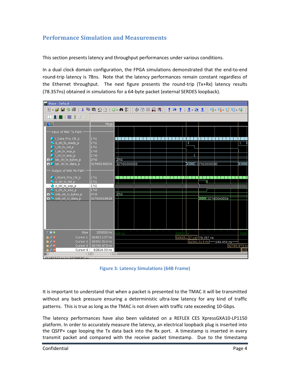## **Performance Simulation and Measurements**

This section presents latency and throughput performances under various conditions.

In a dual clock domain configuration, the FPGA simulations demonstrated that the end-to-end round-trip latency is 78ns. Note that the latency performances remain constant regardless of the Ethernet throughput. The next figure presents the round-trip (Tx+Rx) latency results (78.357ns) obtained in simulations for a 64-byte packet (external SERDES loopback).

| pa Wave - Default =                                                                                                                                                                                                                                                                                                                                                     |                                                                                                                                                                                                |                                                                                                                                                                                                     |  |  |  |  |  |  |
|-------------------------------------------------------------------------------------------------------------------------------------------------------------------------------------------------------------------------------------------------------------------------------------------------------------------------------------------------------------------------|------------------------------------------------------------------------------------------------------------------------------------------------------------------------------------------------|-----------------------------------------------------------------------------------------------------------------------------------------------------------------------------------------------------|--|--|--|--|--|--|
| 8. G B S @   & @ @ Q Q   O · A &                                                                                                                                                                                                                                                                                                                                        |                                                                                                                                                                                                | ◆ ② 幽 贝 图  <br>生命主 孟 金高<br>9.9.29.9                                                                                                                                                                 |  |  |  |  |  |  |
| ▁▁▁▁▏▁▁▏▓▁ <del>▏</del> ▔▁▔▁▔                                                                                                                                                                                                                                                                                                                                           |                                                                                                                                                                                                |                                                                                                                                                                                                     |  |  |  |  |  |  |
| 会.                                                                                                                                                                                                                                                                                                                                                                      | Msgs                                                                                                                                                                                           |                                                                                                                                                                                                     |  |  |  |  |  |  |
| Input of MAC Tx Path<br>LCore_Pcs_Clk_p<br>o oti tx ready p<br>i oti tx vld p<br>i_oti_tx_sop_p<br>i_oti_tx_eop_p<br><b>■ ← ivb_oti_tx_bytes_p</b><br><b>I.4</b> ivb oti tx data p<br>Output of MAC Rx Path -<br>i Revrd Pes Clk p<br>to oti nx vid p<br>o_oti_rx_sop_p<br>o oti nx eop p<br><del>■ ◆</del> ovb_oti_rx_bytes_p<br>⊞ <mark>&lt;</mark> ovb_oti_rx_data_p | ll'hl<br>$1$ hl<br>1 <sup>th1</sup><br>1'h0<br>1 <sup>th0</sup><br>2 <sub>h0</sub><br>32'h00160016<br>ll'hl<br>1 <sup>th</sup> 1<br>1 <sup>h1</sup><br>1'h0<br>2 <sub>h0</sub><br>32'h00018828 | ו ור<br>U<br>2 <sub>h0</sub><br>w.cwww.ww <b>b.</b><br><b>WWWWW135.PO0000000</b><br>32'h00000000<br>$\overline{2}$ 'ho                                                                              |  |  |  |  |  |  |
| $\leftarrow$ E.O<br>Now<br>$\mathbf{u} \times \mathbf{e}$<br>Cursor 1<br>$\mathbf{u} \neq 0$<br>Cursor 2                                                                                                                                                                                                                                                                | 200000 ns<br>92423.157 ns<br>92501.514 ns                                                                                                                                                      | <b>CONTRACTOR</b><br>$\sim 10^{-1}$<br><b>COL</b><br><b>Contract Contract</b><br><b>State State</b><br>32400<br>92800<br>00 ns<br>92423.157 ns 78.357 ns<br>92501.514 ns<br>244.459 ns <sup>-</sup> |  |  |  |  |  |  |
| $\mathbf{\hat{a}}\neq\mathbf{0}$<br>Cursor 3                                                                                                                                                                                                                                                                                                                            | 92745.973 ns                                                                                                                                                                                   | 92745.973 ns                                                                                                                                                                                        |  |  |  |  |  |  |
| âr⊿ e<br>Cursor 4                                                                                                                                                                                                                                                                                                                                                       | 92824.33 ns                                                                                                                                                                                    | 9282                                                                                                                                                                                                |  |  |  |  |  |  |
|                                                                                                                                                                                                                                                                                                                                                                         | DR<br>ÞКI                                                                                                                                                                                      |                                                                                                                                                                                                     |  |  |  |  |  |  |
| 01091040 pc to 04299590 pc                                                                                                                                                                                                                                                                                                                                              |                                                                                                                                                                                                |                                                                                                                                                                                                     |  |  |  |  |  |  |

**Figure 3: Latency Simulations (64B Frame)**

It is important to understand that when a packet is presented to the TMAC it will be transmitted without any back pressure ensuring a deterministic ultra-low latency for any kind of traffic patterns. This is true as long as the TMAC is not driven with traffic rate exceeding 10-Gbps.

The latency performances have also been validated on a REFLEX CES XpressGXA10-LP1150 platform. In order to accurately measure the latency, an electrical loopback plug is inserted into the QSFP+ cage looping the Tx data back into the Rx port. A timestamp is inserted in every transmit packet and compared with the receive packet timestamp. Due to the timestamp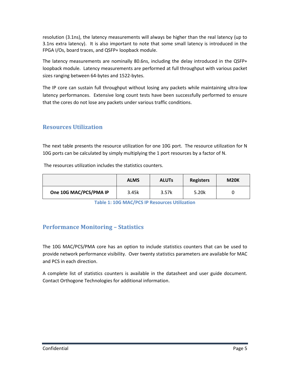resolution (3.1ns), the latency measurements will always be higher than the real latency (up to 3.1ns extra latency). It is also important to note that some small latency is introduced in the FPGA I/Os, board traces, and QSFP+ loopback module.

The latency measurements are nominally 80.6ns, including the delay introduced in the QSFP+ loopback module. Latency measurements are performed at full throughput with various packet sizes ranging between 64-bytes and 1522-bytes.

The IP core can sustain full throughput without losing any packets while maintaining ultra-low latency performances. Extensive long count tests have been successfully performed to ensure that the cores do not lose any packets under various traffic conditions.

## **Resources Utilization**

The next table presents the resource utilization for one 10G port. The resource utilization for N 10G ports can be calculated by simply multiplying the 1 port resources by a factor of N.

The resources utilization includes the statistics counters.

|                        | <b>ALMS</b> | <b>ALUTs</b> | <b>Registers</b> | <b>M20K</b> |
|------------------------|-------------|--------------|------------------|-------------|
| One 10G MAC/PCS/PMA IP | 3.45k       | 3.57k        | 5.20k            |             |

**Table 1: 10G MAC/PCS IP Resources Utilization**

## **Performance Monitoring – Statistics**

The 10G MAC/PCS/PMA core has an option to include statistics counters that can be used to provide network performance visibility. Over twenty statistics parameters are available for MAC and PCS in each direction.

A complete list of statistics counters is available in the datasheet and user guide document. Contact Orthogone Technologies for additional information.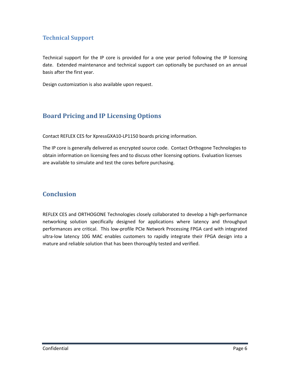## **Technical Support**

Technical support for the IP core is provided for a one year period following the IP licensing date. Extended maintenance and technical support can optionally be purchased on an annual basis after the first year.

Design customization is also available upon request.

# **Board Pricing and IP Licensing Options**

Contact REFLEX CES for XpressGXA10-LP1150 boards pricing information.

The IP core is generally delivered as encrypted source code. Contact Orthogone Technologies to obtain information on licensing fees and to discuss other licensing options. Evaluation licenses are available to simulate and test the cores before purchasing.

# **Conclusion**

REFLEX CES and ORTHOGONE Technologies closely collaborated to develop a high-performance networking solution specifically designed for applications where latency and throughput performances are critical. This low-profile PCIe Network Processing FPGA card with integrated ultra-low latency 10G MAC enables customers to rapidly integrate their FPGA design into a mature and reliable solution that has been thoroughly tested and verified.